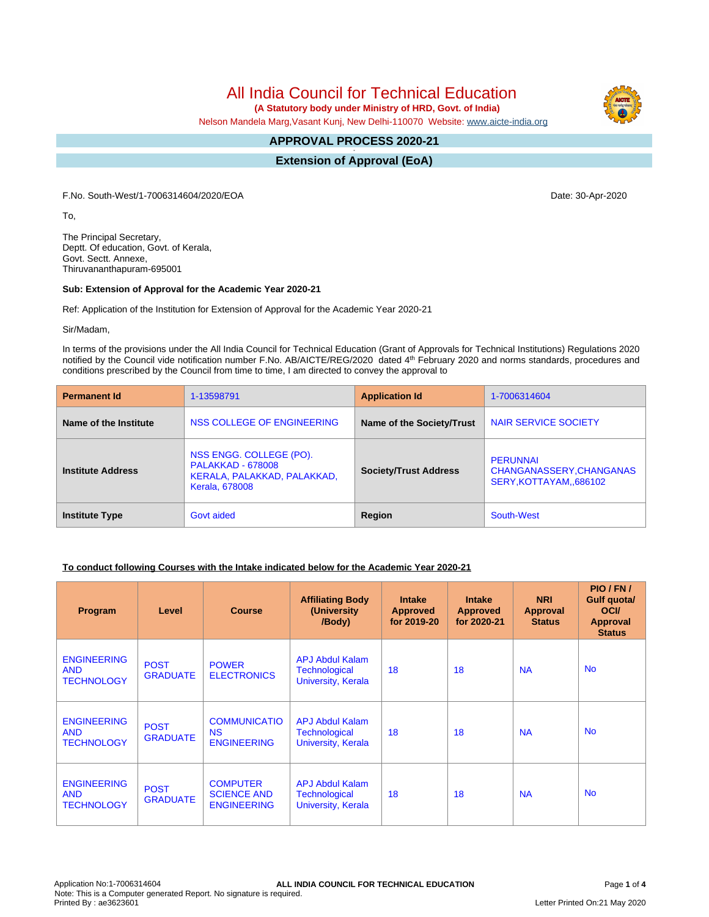# All India Council for Technical Education

 **(A Statutory body under Ministry of HRD, Govt. of India)**

Nelson Mandela Marg,Vasant Kunj, New Delhi-110070 Website: [www.aicte-india.org](http://www.aicte-india.org)

#### **APPROVAL PROCESS 2020-21 -**

**Extension of Approval (EoA)**

F.No. South-West/1-7006314604/2020/EOA Date: 30-Apr-2020

To,

The Principal Secretary, Deptt. Of education, Govt. of Kerala, Govt. Sectt. Annexe, Thiruvananthapuram-695001

#### **Sub: Extension of Approval for the Academic Year 2020-21**

Ref: Application of the Institution for Extension of Approval for the Academic Year 2020-21

Sir/Madam,

In terms of the provisions under the All India Council for Technical Education (Grant of Approvals for Technical Institutions) Regulations 2020 notified by the Council vide notification number F.No. AB/AICTE/REG/2020 dated 4<sup>th</sup> February 2020 and norms standards, procedures and conditions prescribed by the Council from time to time, I am directed to convey the approval to

| <b>Permanent Id</b>      | 1-13598791                                                                                                  | <b>Application Id</b>        | 1-7006314604                                                          |
|--------------------------|-------------------------------------------------------------------------------------------------------------|------------------------------|-----------------------------------------------------------------------|
| Name of the Institute    | NSS COLLEGE OF ENGINEERING                                                                                  | Name of the Society/Trust    | NAIR SERVICE SOCIETY                                                  |
| <b>Institute Address</b> | NSS ENGG. COLLEGE (PO).<br><b>PALAKKAD - 678008</b><br>KERALA, PALAKKAD, PALAKKAD,<br><b>Kerala, 678008</b> | <b>Society/Trust Address</b> | <b>PERUNNAI</b><br>CHANGANASSERY, CHANGANAS<br>SERY, KOTTAYAM, 686102 |
| <b>Institute Type</b>    | Govt aided                                                                                                  | Region                       | South-West                                                            |

### **To conduct following Courses with the Intake indicated below for the Academic Year 2020-21**

| <b>Program</b>                                        | Level                          | <b>Course</b>                                               | <b>Affiliating Body</b><br>(University<br>/Body)                     | <b>Intake</b><br><b>Approved</b><br>for 2019-20 | <b>Intake</b><br><b>Approved</b><br>for 2020-21 | <b>NRI</b><br>Approval<br><b>Status</b> | PIO/FN/<br>Gulf quota/<br><b>OCI</b><br><b>Approval</b><br><b>Status</b> |
|-------------------------------------------------------|--------------------------------|-------------------------------------------------------------|----------------------------------------------------------------------|-------------------------------------------------|-------------------------------------------------|-----------------------------------------|--------------------------------------------------------------------------|
| <b>ENGINEERING</b><br><b>AND</b><br><b>TECHNOLOGY</b> | <b>POST</b><br><b>GRADUATE</b> | <b>POWER</b><br><b>ELECTRONICS</b>                          | <b>APJ Abdul Kalam</b><br><b>Technological</b><br>University, Kerala | 18                                              | 18                                              | <b>NA</b>                               | <b>No</b>                                                                |
| <b>ENGINEERING</b><br><b>AND</b><br><b>TECHNOLOGY</b> | <b>POST</b><br><b>GRADUATE</b> | <b>COMMUNICATIO</b><br><b>NS</b><br><b>ENGINEERING</b>      | <b>APJ Abdul Kalam</b><br><b>Technological</b><br>University, Kerala | 18                                              | 18                                              | <b>NA</b>                               | <b>No</b>                                                                |
| <b>ENGINEERING</b><br><b>AND</b><br><b>TECHNOLOGY</b> | <b>POST</b><br><b>GRADUATE</b> | <b>COMPUTER</b><br><b>SCIENCE AND</b><br><b>ENGINEERING</b> | <b>APJ Abdul Kalam</b><br><b>Technological</b><br>University, Kerala | 18                                              | 18                                              | <b>NA</b>                               | <b>No</b>                                                                |

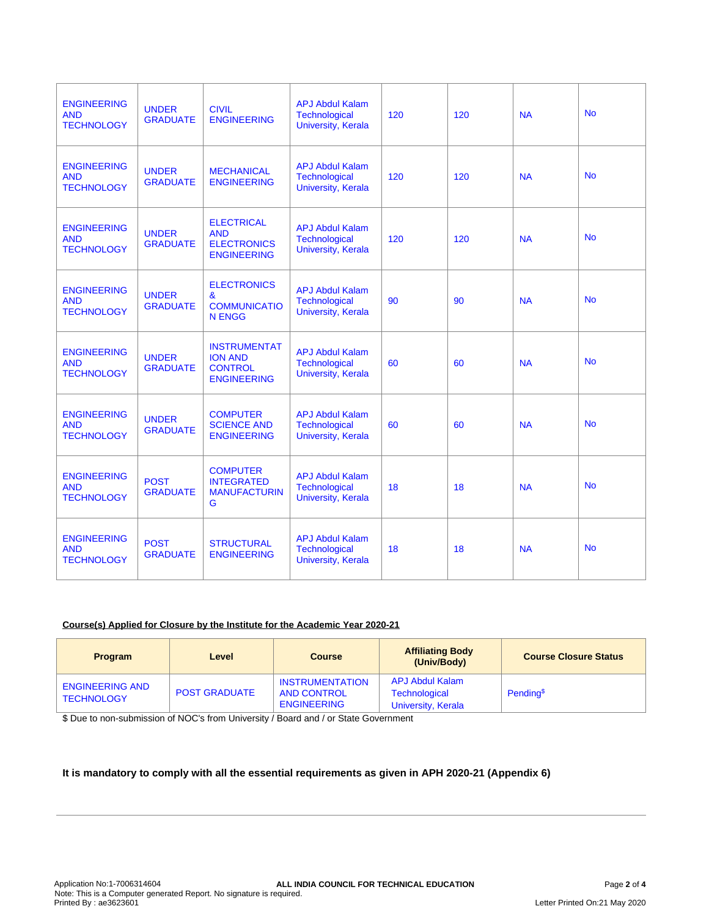| <b>ENGINEERING</b><br><b>AND</b><br><b>TECHNOLOGY</b> | <b>UNDER</b><br><b>GRADUATE</b> | <b>CIVIL</b><br><b>ENGINEERING</b>                                            | <b>APJ Abdul Kalam</b><br><b>Technological</b><br><b>University, Kerala</b> | 120 | 120 | <b>NA</b> | <b>No</b> |
|-------------------------------------------------------|---------------------------------|-------------------------------------------------------------------------------|-----------------------------------------------------------------------------|-----|-----|-----------|-----------|
| <b>ENGINEERING</b><br><b>AND</b><br><b>TECHNOLOGY</b> | <b>UNDER</b><br><b>GRADUATE</b> | <b>MECHANICAL</b><br><b>ENGINEERING</b>                                       | <b>APJ Abdul Kalam</b><br>Technological<br><b>University, Kerala</b>        | 120 | 120 | <b>NA</b> | <b>No</b> |
| <b>ENGINEERING</b><br><b>AND</b><br><b>TECHNOLOGY</b> | <b>UNDER</b><br><b>GRADUATE</b> | <b>ELECTRICAL</b><br><b>AND</b><br><b>ELECTRONICS</b><br><b>ENGINEERING</b>   | <b>APJ Abdul Kalam</b><br><b>Technological</b><br><b>University, Kerala</b> | 120 | 120 | <b>NA</b> | <b>No</b> |
| <b>ENGINEERING</b><br><b>AND</b><br><b>TECHNOLOGY</b> | <b>UNDER</b><br><b>GRADUATE</b> | <b>ELECTRONICS</b><br>&<br><b>COMMUNICATIO</b><br><b>N ENGG</b>               | <b>APJ Abdul Kalam</b><br><b>Technological</b><br>University, Kerala        | 90  | 90  | <b>NA</b> | <b>No</b> |
| <b>ENGINEERING</b><br><b>AND</b><br><b>TECHNOLOGY</b> | <b>UNDER</b><br><b>GRADUATE</b> | <b>INSTRUMENTAT</b><br><b>ION AND</b><br><b>CONTROL</b><br><b>ENGINEERING</b> | <b>APJ Abdul Kalam</b><br><b>Technological</b><br>University, Kerala        | 60  | 60  | <b>NA</b> | <b>No</b> |
| <b>ENGINEERING</b><br><b>AND</b><br><b>TECHNOLOGY</b> | <b>UNDER</b><br><b>GRADUATE</b> | <b>COMPUTER</b><br><b>SCIENCE AND</b><br><b>ENGINEERING</b>                   | <b>APJ Abdul Kalam</b><br>Technological<br>University, Kerala               | 60  | 60  | <b>NA</b> | <b>No</b> |
| <b>ENGINEERING</b><br><b>AND</b><br><b>TECHNOLOGY</b> | <b>POST</b><br><b>GRADUATE</b>  | <b>COMPUTER</b><br><b>INTEGRATED</b><br><b>MANUFACTURIN</b><br>G              | <b>APJ Abdul Kalam</b><br>Technological<br><b>University, Kerala</b>        | 18  | 18  | <b>NA</b> | <b>No</b> |
| <b>ENGINEERING</b><br><b>AND</b><br><b>TECHNOLOGY</b> | <b>POST</b><br><b>GRADUATE</b>  | <b>STRUCTURAL</b><br><b>ENGINEERING</b>                                       | <b>APJ Abdul Kalam</b><br><b>Technological</b><br>University, Kerala        | 18  | 18  | <b>NA</b> | <b>No</b> |

# **Course(s) Applied for Closure by the Institute for the Academic Year 2020-21**

| <b>Program</b>                              | Level                | <b>Course</b>                                                      | <b>Affiliating Body</b><br>(Univ/Body)                        | <b>Course Closure Status</b> |
|---------------------------------------------|----------------------|--------------------------------------------------------------------|---------------------------------------------------------------|------------------------------|
| <b>ENGINEERING AND</b><br><b>TECHNOLOGY</b> | <b>POST GRADUATE</b> | <b>INSTRUMENTATION</b><br><b>AND CONTROL</b><br><b>ENGINEERING</b> | APJ Abdul Kalam<br><b>Technological</b><br>University, Kerala | Pending <sup>\$</sup>        |

\$ Due to non-submission of NOC's from University / Board and / or State Government

# **It is mandatory to comply with all the essential requirements as given in APH 2020-21 (Appendix 6)**